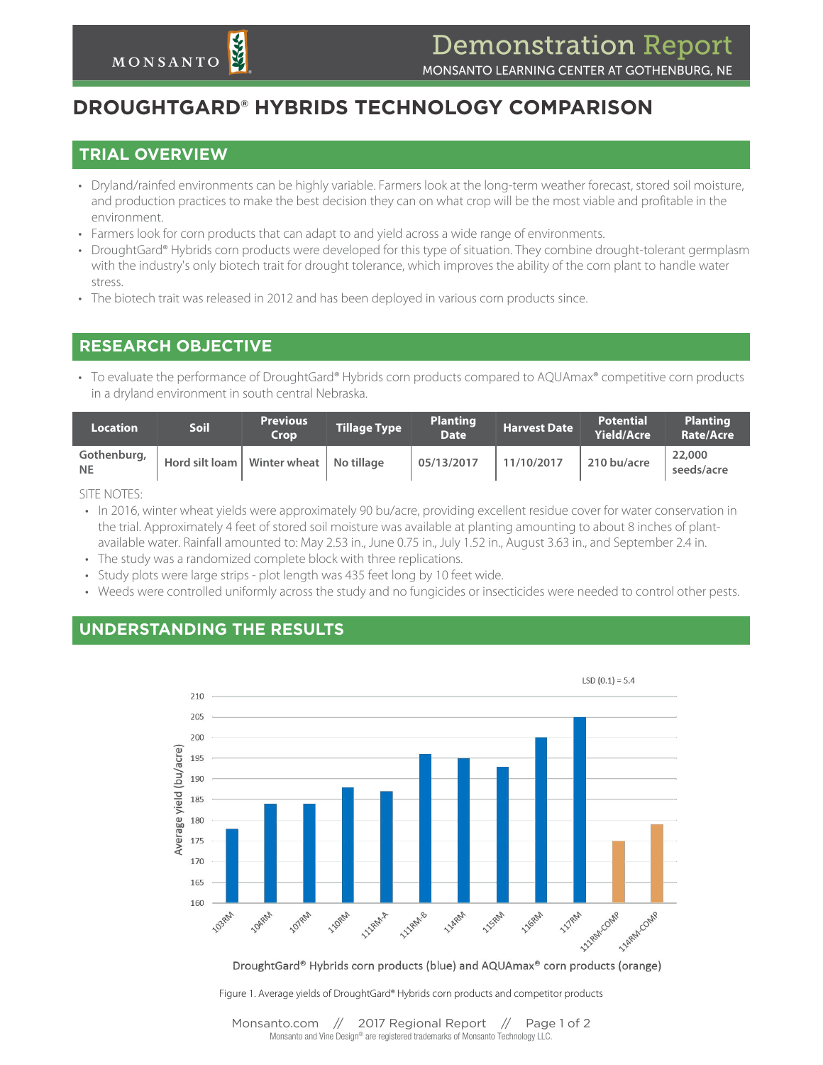# **DROUGHTGARD® HYBRIDS TECHNOLOGY COMPARISON**

#### **TRIAL OVERVIEW**

- *•* Dryland/rainfed environments can be highly variable. Farmers look at the long-term weather forecast, stored soil moisture, and production practices to make the best decision they can on what crop will be the most viable and profitable in the environment.
- *•* Farmers look for corn products that can adapt to and yield across a wide range of environments.
- *•* DroughtGard® Hybrids corn products were developed for this type of situation. They combine drought-tolerant germplasm with the industry's only biotech trait for drought tolerance, which improves the ability of the corn plant to handle water stress.
- *•* The biotech trait was released in 2012 and has been deployed in various corn products since.

## **RESEARCH OBJECTIVE**

*•* To evaluate the performance of DroughtGard® Hybrids corn products compared to AQUAmax® competitive corn products in a dryland environment in south central Nebraska.

| <b>Location</b>          | Soil                                       | <b>Previous</b><br>Crop | Tillage Type b | <b>Planting</b><br><b>Date</b> | <b>Harvest Date</b> | <b>Potential</b><br><b>Yield/Acre</b> | <b>Planting</b><br>Rate/Acre |
|--------------------------|--------------------------------------------|-------------------------|----------------|--------------------------------|---------------------|---------------------------------------|------------------------------|
| Gothenburg,<br><b>NE</b> | Hord silt loam   Winter wheat   No tillage |                         |                | 05/13/2017                     | 11/10/2017          | 210 bu/acre                           | 22,000<br>seeds/acre         |
|                          |                                            |                         |                |                                |                     |                                       |                              |

SITE NOTES:

- *•* In 2016, winter wheat yields were approximately 90 bu/acre, providing excellent residue cover for water conservation in the trial. Approximately 4 feet of stored soil moisture was available at planting amounting to about 8 inches of plantavailable water. Rainfall amounted to: May 2.53 in., June 0.75 in., July 1.52 in., August 3.63 in., and September 2.4 in.
- *•* The study was a randomized complete block with three replications.
- *•* Study plots were large strips plot length was 435 feet long by 10 feet wide.
- *•* Weeds were controlled uniformly across the study and no fungicides or insecticides were needed to control other pests.

#### **UNDERSTANDING THE RESULTS**



DroughtGard® Hybrids corn products (blue) and AQUAmax® corn products (orange)

Figure 1. Average yields of DroughtGard® Hybrids corn products and competitor products